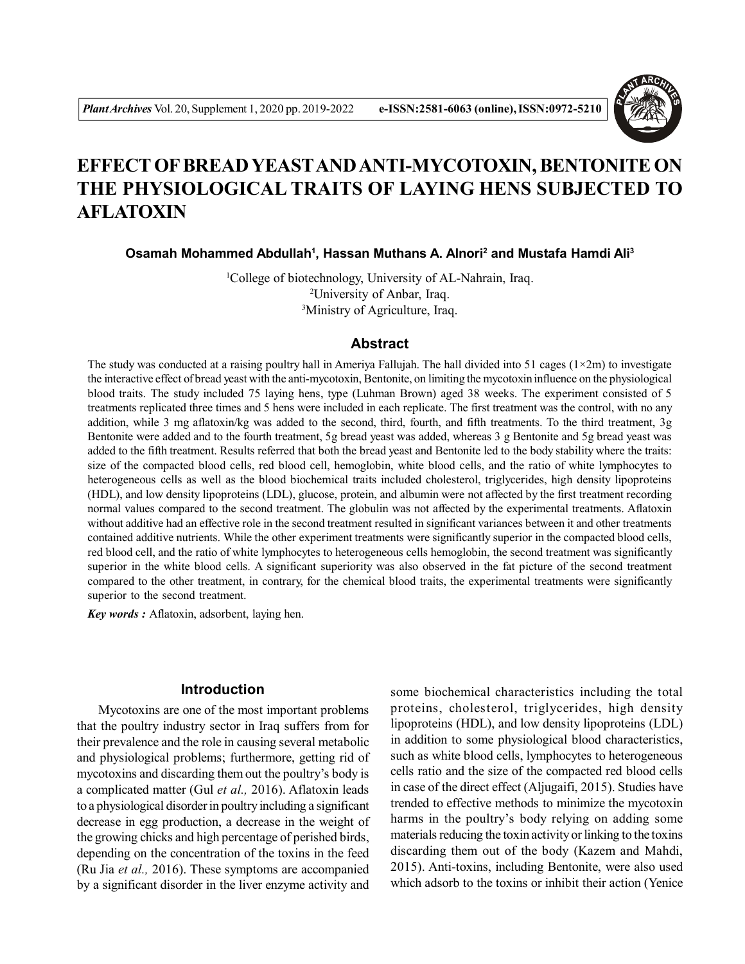

# **EFFECT OF BREAD YEASTAND ANTI-MYCOTOXIN, BENTONITE ON THE PHYSIOLOGICAL TRAITS OF LAYING HENS SUBJECTED TO AFLATOXIN**

**Osamah Mohammed Abdullah<sup>1</sup> , Hassan Muthans A. Alnori<sup>2</sup> and Mustafa Hamdi Ali<sup>3</sup>**

<sup>1</sup>College of biotechnology, University of AL-Nahrain, Iraq. <sup>2</sup>University of Anbar, Iraq. <sup>3</sup>Ministry of Agriculture, Iraq.

# **Abstract**

The study was conducted at a raising poultry hall in Ameriya Fallujah. The hall divided into 51 cages  $(1\times 2m)$  to investigate the interactive effect of bread yeast with the anti-mycotoxin, Bentonite, on limiting the mycotoxin influence on the physiological blood traits. The study included 75 laying hens, type (Luhman Brown) aged 38 weeks. The experiment consisted of 5 treatments replicated three times and 5 hens were included in each replicate. The first treatment was the control, with no any addition, while 3 mg aflatoxin/kg was added to the second, third, fourth, and fifth treatments. To the third treatment, 3g Bentonite were added and to the fourth treatment, 5g bread yeast was added, whereas 3 g Bentonite and 5g bread yeast was added to the fifth treatment. Results referred that both the bread yeast and Bentonite led to the body stability where the traits: size of the compacted blood cells, red blood cell, hemoglobin, white blood cells, and the ratio of white lymphocytes to heterogeneous cells as well as the blood biochemical traits included cholesterol, triglycerides, high density lipoproteins (HDL), and low density lipoproteins (LDL), glucose, protein, and albumin were not affected by the first treatment recording normal values compared to the second treatment. The globulin was not affected by the experimental treatments. Aflatoxin without additive had an effective role in the second treatment resulted in significant variances between it and other treatments contained additive nutrients. While the other experiment treatments were significantly superior in the compacted blood cells, red blood cell, and the ratio of white lymphocytes to heterogeneous cells hemoglobin, the second treatment was significantly superior in the white blood cells. A significant superiority was also observed in the fat picture of the second treatment compared to the other treatment, in contrary, for the chemical blood traits, the experimental treatments were significantly superior to the second treatment.

*Key words :* Aflatoxin, adsorbent, laying hen.

## **Introduction**

Mycotoxins are one of the most important problems that the poultry industry sector in Iraq suffers from for their prevalence and the role in causing several metabolic and physiological problems; furthermore, getting rid of mycotoxins and discarding them out the poultry's body is a complicated matter (Gul *et al.,* 2016). Aflatoxin leads to a physiological disorder in poultry including a significant decrease in egg production, a decrease in the weight of the growing chicks and high percentage of perished birds, depending on the concentration of the toxins in the feed (Ru Jia *et al.,* 2016). These symptoms are accompanied by a significant disorder in the liver enzyme activity and some biochemical characteristics including the total proteins, cholesterol, triglycerides, high density lipoproteins (HDL), and low density lipoproteins (LDL) in addition to some physiological blood characteristics, such as white blood cells, lymphocytes to heterogeneous cells ratio and the size of the compacted red blood cells in case of the direct effect (Aljugaifi, 2015). Studies have trended to effective methods to minimize the mycotoxin harms in the poultry's body relying on adding some materials reducing the toxin activity or linking to the toxins discarding them out of the body (Kazem and Mahdi, 2015). Anti-toxins, including Bentonite, were also used which adsorb to the toxins or inhibit their action (Yenice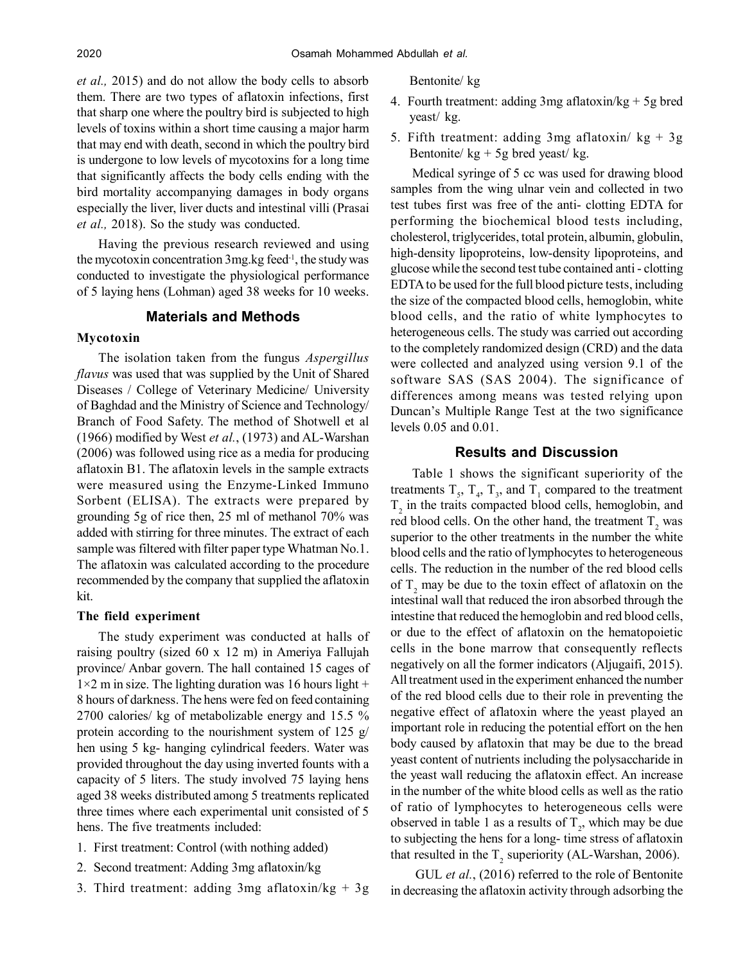*et al.,* 2015) and do not allow the body cells to absorb them. There are two types of aflatoxin infections, first that sharp one where the poultry bird is subjected to high levels of toxins within a short time causing a major harm that may end with death, second in which the poultry bird is undergone to low levels of mycotoxins for a long time that significantly affects the body cells ending with the bird mortality accompanying damages in body organs especially the liver, liver ducts and intestinal villi (Prasai *et al.,* 2018). So the study was conducted.

Having the previous research reviewed and using the mycotoxin concentration  $3$ mg.kg feed $^{-1}$ , the study was conducted to investigate the physiological performance of 5 laying hens (Lohman) aged 38 weeks for 10 weeks.

## **Materials and Methods**

#### **Mycotoxin**

The isolation taken from the fungus *Aspergillus flavus* was used that was supplied by the Unit of Shared Diseases / College of Veterinary Medicine/ University of Baghdad and the Ministry of Science and Technology/ Branch of Food Safety. The method of Shotwell et al (1966) modified by West *et al.*, (1973) and AL-Warshan (2006) was followed using rice as a media for producing aflatoxin B1. The aflatoxin levels in the sample extracts were measured using the Enzyme-Linked Immuno Sorbent (ELISA). The extracts were prepared by grounding 5g of rice then, 25 ml of methanol 70% was added with stirring for three minutes. The extract of each sample was filtered with filter paper type Whatman No.1. The aflatoxin was calculated according to the procedure recommended by the company that supplied the aflatoxin kit.

## **The field experiment**

The study experiment was conducted at halls of raising poultry (sized 60 x 12 m) in Ameriya Fallujah province/ Anbar govern. The hall contained 15 cages of  $1\times 2$  m in size. The lighting duration was 16 hours light + 8 hours of darkness. The hens were fed on feed containing 2700 calories/ kg of metabolizable energy and 15.5 % protein according to the nourishment system of 125  $g$ / hen using 5 kg- hanging cylindrical feeders. Water was provided throughout the day using inverted founts with a capacity of 5 liters. The study involved 75 laying hens aged 38 weeks distributed among 5 treatments replicated three times where each experimental unit consisted of 5 hens. The five treatments included:

- 1. First treatment: Control (with nothing added)
- 2. Second treatment: Adding 3mg aflatoxin/kg
- 3. Third treatment: adding 3mg aflatoxin/kg + 3g

Bentonite/ kg

- 4. Fourth treatment: adding 3mg aflatoxin/kg + 5g bred yeast/ kg.
- 5. Fifth treatment: adding 3mg aflatoxin/  $kg + 3g$ Bentonite/ $kg + 5g$  bred yeast/ $kg$ .

Medical syringe of 5 cc was used for drawing blood samples from the wing ulnar vein and collected in two test tubes first was free of the anti- clotting EDTA for performing the biochemical blood tests including, cholesterol, triglycerides, total protein, albumin, globulin, high-density lipoproteins, low-density lipoproteins, and glucose while the second test tube contained anti - clotting EDTA to be used for the full blood picture tests, including the size of the compacted blood cells, hemoglobin, white blood cells, and the ratio of white lymphocytes to heterogeneous cells. The study was carried out according to the completely randomized design (CRD) and the data were collected and analyzed using version 9.1 of the software SAS (SAS 2004). The significance of differences among means was tested relying upon Duncan's Multiple Range Test at the two significance levels 0.05 and 0.01.

## **Results and Discussion**

Table 1 shows the significant superiority of the treatments  $T_s$ ,  $T_4$ ,  $T_3$ , and  $T_1$  compared to the treatment  $T<sub>2</sub>$  in the traits compacted blood cells, hemoglobin, and red blood cells. On the other hand, the treatment  $T_2$  was superior to the other treatments in the number the white blood cells and the ratio of lymphocytes to heterogeneous cells. The reduction in the number of the red blood cells of  $T_2$  may be due to the toxin effect of aflatoxin on the intestinal wall that reduced the iron absorbed through the intestine that reduced the hemoglobin and red blood cells, or due to the effect of aflatoxin on the hematopoietic cells in the bone marrow that consequently reflects negatively on all the former indicators (Aljugaifi, 2015). All treatment used in the experiment enhanced the number of the red blood cells due to their role in preventing the negative effect of aflatoxin where the yeast played an important role in reducing the potential effort on the hen body caused by aflatoxin that may be due to the bread yeast content of nutrients including the polysaccharide in the yeast wall reducing the aflatoxin effect. An increase in the number of the white blood cells as well as the ratio of ratio of lymphocytes to heterogeneous cells were observed in table 1 as a results of  $T_2$ , which may be due to subjecting the hens for a long- time stress of aflatoxin that resulted in the  $T_2$  superiority (AL-Warshan, 2006).

 GUL *et al.*, (2016) referred to the role of Bentonite in decreasing the aflatoxin activity through adsorbing the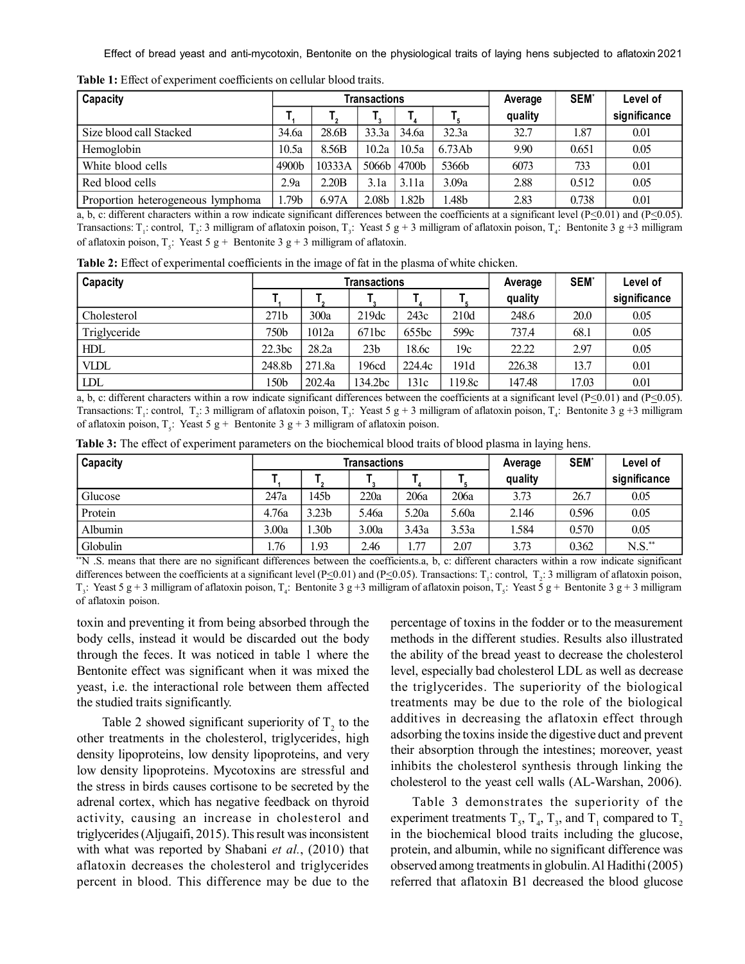Effect of bread yeast and anti-mycotoxin, Bentonite on the physiological traits of laying hens subjected to aflatoxin 2021

| Capacity                          |                   |        | Transactions |                 | Average | <b>SEM</b> | Level of |              |
|-----------------------------------|-------------------|--------|--------------|-----------------|---------|------------|----------|--------------|
|                                   |                   |        |              |                 |         | quality    |          | significance |
| Size blood call Stacked           | 34.6a             | 28.6B  | 33.3a        | 34.6a           | 32.3a   | 32.7       | 1.87     | 0.01         |
| Hemoglobin                        | 10.5a             | 8.56B  | 10.2a        | 10.5a           | 6.73Ab  | 9.90       | 0.651    | 0.05         |
| White blood cells                 | 4900 <sub>b</sub> | 10333A |              | $5066h$   4700b | 5366b   | 6073       | 733      | 0.01         |
| Red blood cells                   | 2.9a              | 2.20B  | 3.1a         | 3.11a           | 3.09a   | 2.88       | 0.512    | 0.05         |
| Proportion heterogeneous lymphoma | 1.79b             | 6.97A  | 2.08b        | .82b            | l.48b   | 2.83       | 0.738    | 0.01         |

**Table 1:** Effect of experiment coefficients on cellular blood traits.

a, b, c: different characters within a row indicate significant differences between the coefficients at a significant level (P $\leq$ 0.01) and (P $\leq$ 0.05). Transactions: T<sub>1</sub>: control, T<sub>2</sub>: 3 milligram of aflatoxin poison, T<sub>3</sub>: Yeast 5 g + 3 milligram of aflatoxin poison, T<sub>4</sub>: Bentonite 3 g +3 milligram of aflatoxin poison,  $T_s$ : Yeast 5 g + Bentonite 3 g + 3 milligram of aflatoxin.

**Table 2:** Effect of experimental coefficients in the image of fat in the plasma of white chicken.

| Capacity     |                    |        | Transactions |        | Average | <b>SEM</b> | Level of |              |
|--------------|--------------------|--------|--------------|--------|---------|------------|----------|--------------|
|              |                    |        |              |        |         | quality    |          | significance |
| Cholesterol  | 271 <sub>b</sub>   | 300a   | 219dc        | 243c   | 210d    | 248.6      | 20.0     | 0.05         |
| Triglyceride | 750b               | 1012a  | 671bc        | 655bc  | 599c    | 737.4      | 68.1     | 0.05         |
| <b>HDL</b>   | 22.3 <sub>bc</sub> | 28.2a  | 23b          | 18.6c  | 19c     | 22.22      | 2.97     | 0.05         |
| <b>VIDL</b>  | 248.8b             | 271.8a | 196cd        | 224.4c | 191d    | 226.38     | 13.7     | 0.01         |
| <b>LDL</b>   | 150b               | 202.4a | 134.2bc      | 131c   | 19.8c   | 147.48     | 17.03    | 0.01         |

a, b, c: different characters within a row indicate significant differences between the coefficients at a significant level (P $\leq$ 0.01) and (P $\leq$ 0.05). Transactions: T<sub>1</sub>: control, T<sub>2</sub>: 3 milligram of aflatoxin poison, T<sub>3</sub>: Yeast 5 g + 3 milligram of aflatoxin poison, T<sub>4</sub>: Bentonite 3 g +3 milligram of aflatoxin poison,  $T_5$ : Yeast 5 g + Bentonite 3 g + 3 milligram of aflatoxin poison.

|  |  | <b>Table 3:</b> The effect of experiment parameters on the biochemical blood traits of blood plasma in laying hens. |  |  |  |  |  |  |  |  |  |  |  |
|--|--|---------------------------------------------------------------------------------------------------------------------|--|--|--|--|--|--|--|--|--|--|--|
|--|--|---------------------------------------------------------------------------------------------------------------------|--|--|--|--|--|--|--|--|--|--|--|

| Capacity |       |                   | <b>Transactions</b> |       | Average | <b>SEM</b> | Level of |              |
|----------|-------|-------------------|---------------------|-------|---------|------------|----------|--------------|
|          |       |                   |                     |       |         | quality    |          | significance |
| Glucose  | 247a  | 145b              | 220a                | 206a  | 206a    | 3.73       | 26.7     | 0.05         |
| Protein  | 4.76a | 3.23 <sub>b</sub> | 5.46a               | 5.20a | 5.60a   | 2.146      | 0.596    | 0.05         |
| Albumin  | 3.00a | .30 <sub>b</sub>  | 3.00a               | 3.43a | 3.53a   | 1.584      | 0.570    | 0.05         |
| Globulin | 1.76  | . 93              | 2.46                | 1.77  | 2.07    | 3.73       | 0.362    | $N.S.^*$     |

\*\*N .S. means that there are no significant differences between the coefficients.a, b, c: different characters within a row indicate significant differences between the coefficients at a significant level (P $\leq$ 0.01) and (P $\leq$ 0.05). Transactions: T<sub>1</sub>: control, T<sub>2</sub>: 3 milligram of aflatoxin poison,  $T_3$ : Yeast 5 g + 3 milligram of aflatoxin poison,  $T_4$ : Bentonite 3 g +3 milligram of aflatoxin poison,  $T_5$ : Yeast 5 g + Bentonite 3 g + 3 milligram of aflatoxin poison.

toxin and preventing it from being absorbed through the body cells, instead it would be discarded out the body through the feces. It was noticed in table 1 where the Bentonite effect was significant when it was mixed the yeast, i.e. the interactional role between them affected the studied traits significantly.

Table 2 showed significant superiority of  $T<sub>2</sub>$  to the other treatments in the cholesterol, triglycerides, high density lipoproteins, low density lipoproteins, and very low density lipoproteins. Mycotoxins are stressful and the stress in birds causes cortisone to be secreted by the adrenal cortex, which has negative feedback on thyroid activity, causing an increase in cholesterol and triglycerides (Aljugaifi, 2015). This result was inconsistent with what was reported by Shabani *et al.*, (2010) that aflatoxin decreases the cholesterol and triglycerides percent in blood. This difference may be due to the

percentage of toxins in the fodder or to the measurement methods in the different studies. Results also illustrated the ability of the bread yeast to decrease the cholesterol level, especially bad cholesterol LDL as well as decrease the triglycerides. The superiority of the biological treatments may be due to the role of the biological additives in decreasing the aflatoxin effect through adsorbing the toxins inside the digestive duct and prevent their absorption through the intestines; moreover, yeast inhibits the cholesterol synthesis through linking the cholesterol to the yeast cell walls (AL-Warshan, 2006).

Table 3 demonstrates the superiority of the experiment treatments  $T_s$ ,  $T_4$ ,  $T_3$ , and  $T_1$  compared to  $T_2$ in the biochemical blood traits including the glucose, protein, and albumin, while no significant difference was observed among treatments in globulin. Al Hadithi (2005) referred that aflatoxin B1 decreased the blood glucose